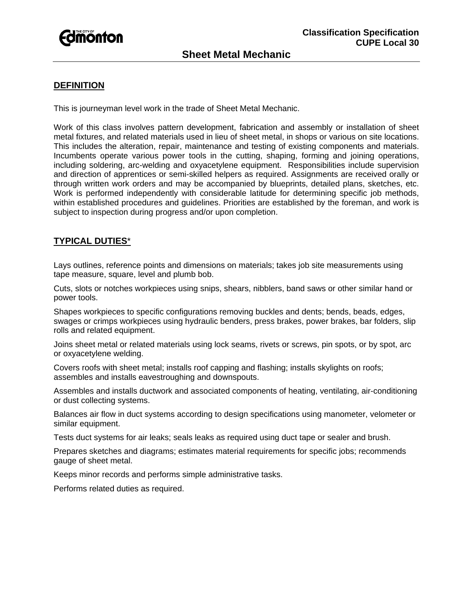

# **DEFINITION**

This is journeyman level work in the trade of Sheet Metal Mechanic.

Work of this class involves pattern development, fabrication and assembly or installation of sheet metal fixtures, and related materials used in lieu of sheet metal, in shops or various on site locations. This includes the alteration, repair, maintenance and testing of existing components and materials. Incumbents operate various power tools in the cutting, shaping, forming and joining operations, including soldering, arc-welding and oxyacetylene equipment. Responsibilities include supervision and direction of apprentices or semi-skilled helpers as required. Assignments are received orally or through written work orders and may be accompanied by blueprints, detailed plans, sketches, etc. Work is performed independently with considerable latitude for determining specific job methods, within established procedures and guidelines. Priorities are established by the foreman, and work is subject to inspection during progress and/or upon completion.

# **TYPICAL DUTIES**\*

Lays outlines, reference points and dimensions on materials; takes job site measurements using tape measure, square, level and plumb bob.

Cuts, slots or notches workpieces using snips, shears, nibblers, band saws or other similar hand or power tools.

Shapes workpieces to specific configurations removing buckles and dents; bends, beads, edges, swages or crimps workpieces using hydraulic benders, press brakes, power brakes, bar folders, slip rolls and related equipment.

Joins sheet metal or related materials using lock seams, rivets or screws, pin spots, or by spot, arc or oxyacetylene welding.

Covers roofs with sheet metal; installs roof capping and flashing; installs skylights on roofs; assembles and installs eavestroughing and downspouts.

Assembles and installs ductwork and associated components of heating, ventilating, air-conditioning or dust collecting systems.

Balances air flow in duct systems according to design specifications using manometer, velometer or similar equipment.

Tests duct systems for air leaks; seals leaks as required using duct tape or sealer and brush.

Prepares sketches and diagrams; estimates material requirements for specific jobs; recommends gauge of sheet metal.

Keeps minor records and performs simple administrative tasks.

Performs related duties as required.